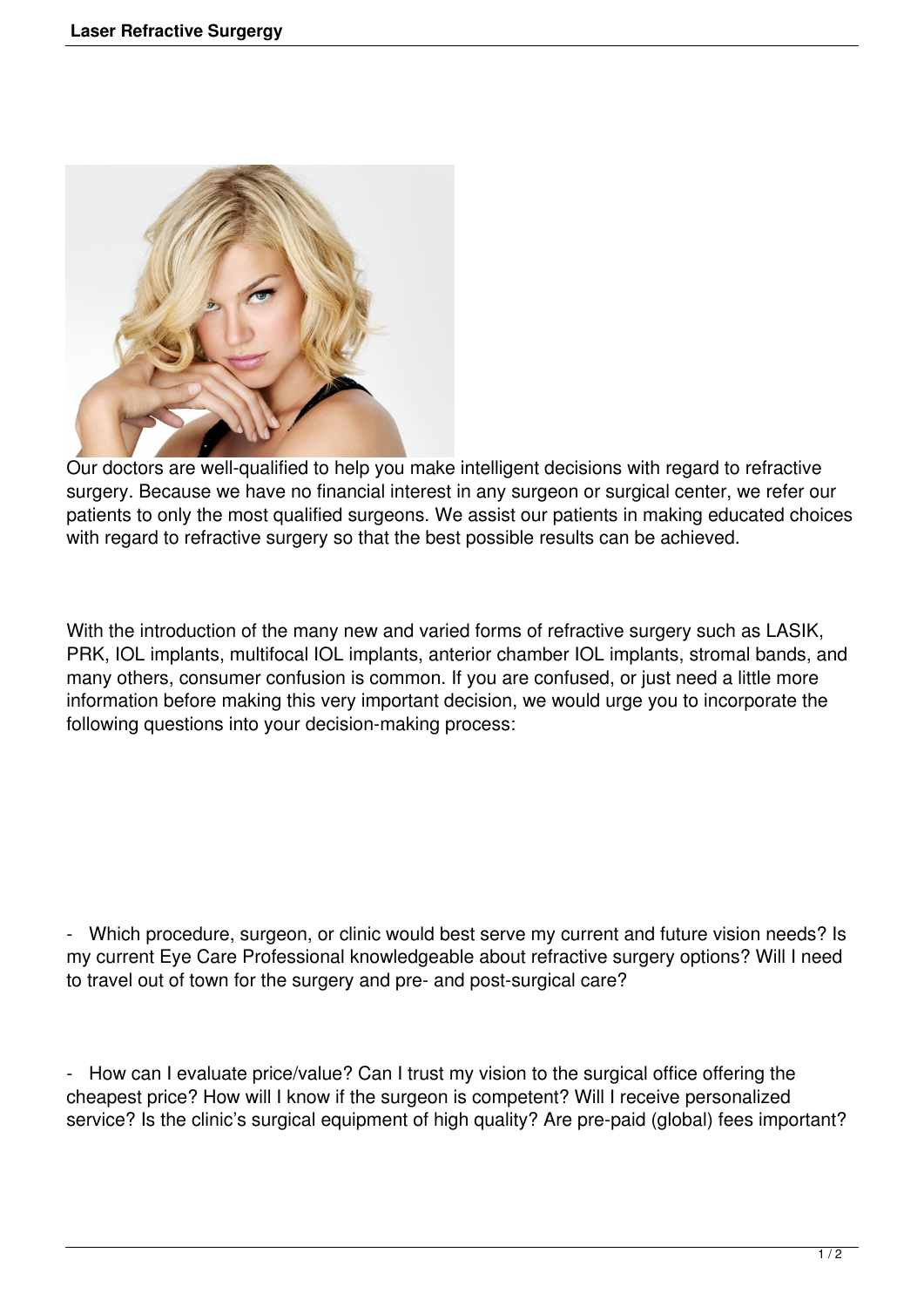

Our doctors are well-qualified to help you make intelligent decisions with regard to refractive surgery. Because we have no financial interest in any surgeon or surgical center, we refer our patients to only the most qualified surgeons. We assist our patients in making educated choices with regard to refractive surgery so that the best possible results can be achieved.

With the introduction of the many new and varied forms of refractive surgery such as LASIK, PRK, IOL implants, multifocal IOL implants, anterior chamber IOL implants, stromal bands, and many others, consumer confusion is common. If you are confused, or just need a little more information before making this very important decision, we would urge you to incorporate the following questions into your decision-making process:

- Which procedure, surgeon, or clinic would best serve my current and future vision needs? Is my current Eye Care Professional knowledgeable about refractive surgery options? Will I need to travel out of town for the surgery and pre- and post-surgical care?

- How can I evaluate price/value? Can I trust my vision to the surgical office offering the cheapest price? How will I know if the surgeon is competent? Will I receive personalized service? Is the clinic's surgical equipment of high quality? Are pre-paid (global) fees important?